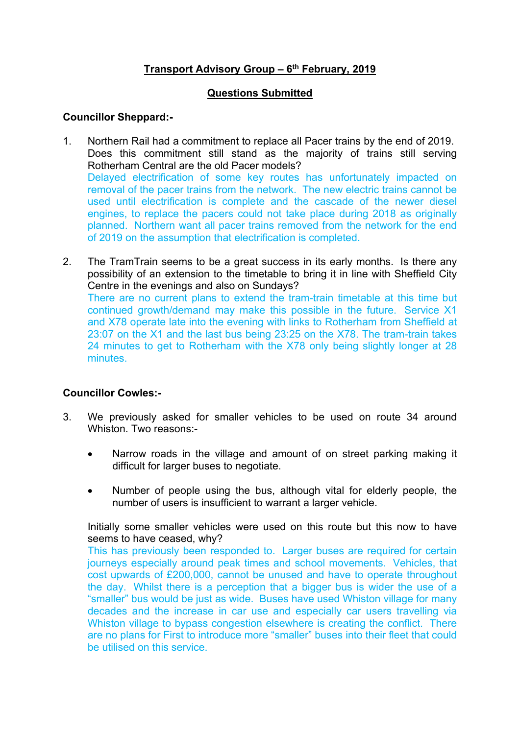# **Transport Advisory Group – 6 th February, 2019**

#### **Questions Submitted**

### **Councillor Sheppard:-**

- 1. Northern Rail had a commitment to replace all Pacer trains by the end of 2019. Does this commitment still stand as the majority of trains still serving Rotherham Central are the old Pacer models? Delayed electrification of some key routes has unfortunately impacted on removal of the pacer trains from the network. The new electric trains cannot be used until electrification is complete and the cascade of the newer diesel engines, to replace the pacers could not take place during 2018 as originally planned. Northern want all pacer trains removed from the network for the end of 2019 on the assumption that electrification is completed.
- 2. The TramTrain seems to be a great success in its early months. Is there any possibility of an extension to the timetable to bring it in line with Sheffield City Centre in the evenings and also on Sundays? There are no current plans to extend the tram-train timetable at this time but continued growth/demand may make this possible in the future. Service X1 and X78 operate late into the evening with links to Rotherham from Sheffield at 23:07 on the X1 and the last bus being 23:25 on the X78. The tram-train takes 24 minutes to get to Rotherham with the X78 only being slightly longer at 28 minutes.

# **Councillor Cowles:-**

- 3. We previously asked for smaller vehicles to be used on route 34 around Whiston. Two reasons:-
	- Narrow roads in the village and amount of on street parking making it difficult for larger buses to negotiate.
	- Number of people using the bus, although vital for elderly people, the number of users is insufficient to warrant a larger vehicle.

Initially some smaller vehicles were used on this route but this now to have seems to have ceased, why?

This has previously been responded to. Larger buses are required for certain journeys especially around peak times and school movements. Vehicles, that cost upwards of £200,000, cannot be unused and have to operate throughout the day. Whilst there is a perception that a bigger bus is wider the use of a "smaller" bus would be just as wide. Buses have used Whiston village for many decades and the increase in car use and especially car users travelling via Whiston village to bypass congestion elsewhere is creating the conflict. There are no plans for First to introduce more "smaller" buses into their fleet that could be utilised on this service.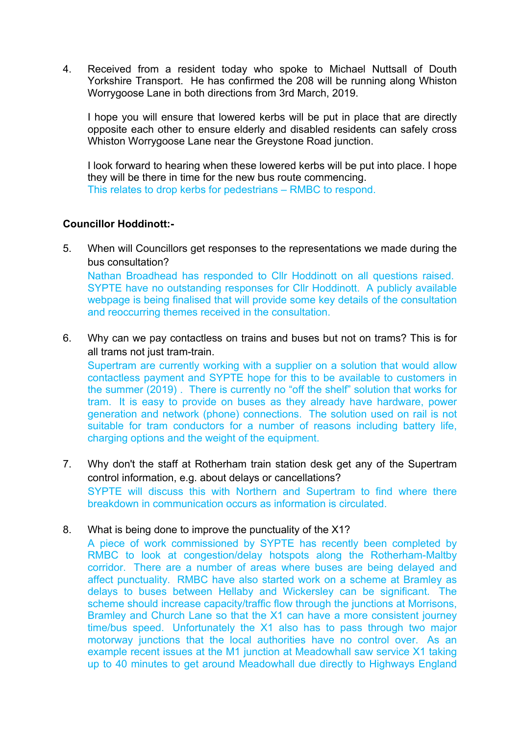4. Received from a resident today who spoke to Michael Nuttsall of Douth Yorkshire Transport. He has confirmed the 208 will be running along Whiston Worrygoose Lane in both directions from 3rd March, 2019.

I hope you will ensure that lowered kerbs will be put in place that are directly opposite each other to ensure elderly and disabled residents can safely cross Whiston Worrygoose Lane near the Greystone Road junction.

I look forward to hearing when these lowered kerbs will be put into place. I hope they will be there in time for the new bus route commencing. This relates to drop kerbs for pedestrians – RMBC to respond.

#### **Councillor Hoddinott:-**

5. When will Councillors get responses to the representations we made during the bus consultation?

Nathan Broadhead has responded to Cllr Hoddinott on all questions raised. SYPTE have no outstanding responses for Cllr Hoddinott. A publicly available webpage is being finalised that will provide some key details of the consultation and reoccurring themes received in the consultation.

6. Why can we pay contactless on trains and buses but not on trams? This is for all trams not just tram-train.

Supertram are currently working with a supplier on a solution that would allow contactless payment and SYPTE hope for this to be available to customers in the summer (2019) . There is currently no "off the shelf" solution that works for tram. It is easy to provide on buses as they already have hardware, power generation and network (phone) connections. The solution used on rail is not suitable for tram conductors for a number of reasons including battery life, charging options and the weight of the equipment.

- 7. Why don't the staff at Rotherham train station desk get any of the Supertram control information, e.g. about delays or cancellations? SYPTE will discuss this with Northern and Supertram to find where there breakdown in communication occurs as information is circulated.
- 8. What is being done to improve the punctuality of the X1?

A piece of work commissioned by SYPTE has recently been completed by RMBC to look at congestion/delay hotspots along the Rotherham-Maltby corridor. There are a number of areas where buses are being delayed and affect punctuality. RMBC have also started work on a scheme at Bramley as delays to buses between Hellaby and Wickersley can be significant. The scheme should increase capacity/traffic flow through the junctions at Morrisons, Bramley and Church Lane so that the X1 can have a more consistent journey time/bus speed. Unfortunately the X1 also has to pass through two major motorway junctions that the local authorities have no control over. As an example recent issues at the M1 junction at Meadowhall saw service X1 taking up to 40 minutes to get around Meadowhall due directly to Highways England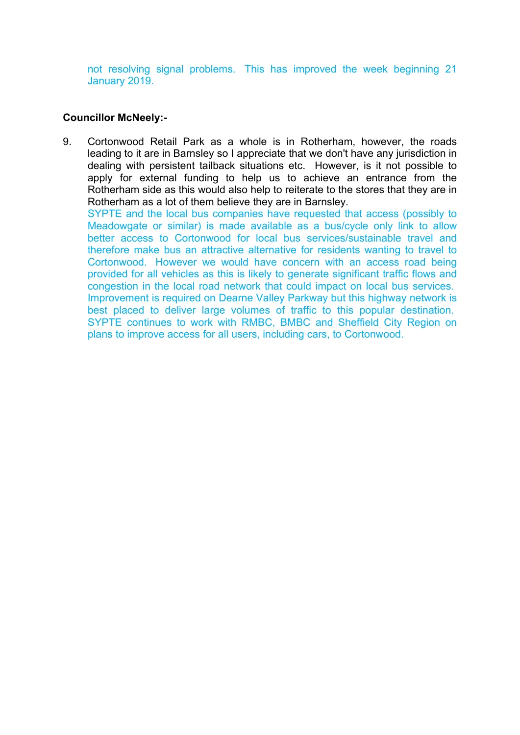not resolving signal problems. This has improved the week beginning 21 January 2019.

### **Councillor McNeely:-**

9. Cortonwood Retail Park as a whole is in Rotherham, however, the roads leading to it are in Barnsley so I appreciate that we don't have any jurisdiction in dealing with persistent tailback situations etc. However, is it not possible to apply for external funding to help us to achieve an entrance from the Rotherham side as this would also help to reiterate to the stores that they are in Rotherham as a lot of them believe they are in Barnsley.

SYPTE and the local bus companies have requested that access (possibly to Meadowgate or similar) is made available as a bus/cycle only link to allow better access to Cortonwood for local bus services/sustainable travel and therefore make bus an attractive alternative for residents wanting to travel to Cortonwood. However we would have concern with an access road being provided for all vehicles as this is likely to generate significant traffic flows and congestion in the local road network that could impact on local bus services. Improvement is required on Dearne Valley Parkway but this highway network is best placed to deliver large volumes of traffic to this popular destination. SYPTE continues to work with RMBC, BMBC and Sheffield City Region on plans to improve access for all users, including cars, to Cortonwood.